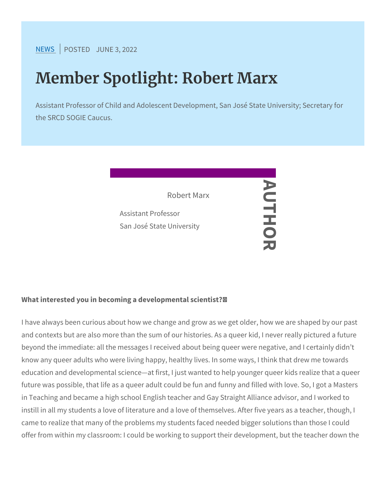[NEW](https://www.srcd.org/news)SPOSTEJOUNE 3, 2022

# Member Spotlight: Robert Marx

Assistant Professor of Child and Adolescent Development, San J the SRCD SOGIE Caucus.

> AUTHORNU Robert Marx Assistant Professor San José State University -HO<br>O

What interested you in becoming a developmental scientist? /

I have always been curious about how we change and grow as we go and contexts but are also more than the sum of our histories. As a beyond the immediate: all the messages I received about being que know any queer adults who were living happy, healthy lives. In som education and developmental science at first, I just wanted to help future was possible, that life as a queer adult could be fun and fun in Teaching and became a high school English teacher and Gay Stra instill in all my students a love of literature and a love of themselv came to realize that many of the problems my students faced neede offer from within my classroom: I could be working to support their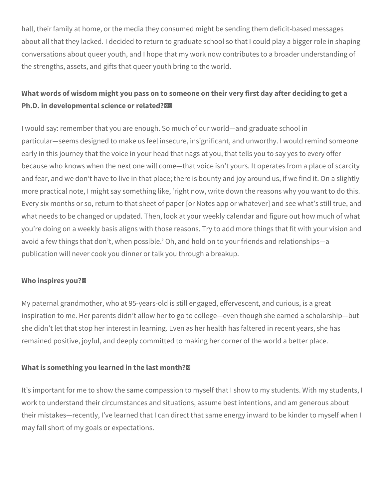hall, their family at home, or the media they consumed might be sending them deficit-based messages about all that they lacked. I decided to return to graduate school so that I could play a bigger role in shaping conversations about queer youth, and I hope that my work now contributes to a broader understanding of the strengths, assets, and gifts that queer youth bring to the world.

## **What words of wisdom might you pass on to someone on their very first day after deciding to get a Ph.D. in developmental science or related?**

I would say: remember that you are enough. So much of our world—and graduate school in particular—seems designed to make us feel insecure, insignificant, and unworthy. I would remind someone early in this journey that the voice in your head that nags at you, that tells you to say yes to every offer because who knows when the next one will come—that voice isn't yours. It operates from a place of scarcity and fear, and we don't have to live in that place; there is bounty and joy around us, if we find it. On a slightly more practical note, I might say something like, 'right now, write down the reasons why you want to do this. Every six months or so, return to that sheet of paper [or Notes app or whatever] and see what's still true, and what needs to be changed or updated. Then, look at your weekly calendar and figure out how much of what you're doing on a weekly basis aligns with those reasons. Try to add more things that fit with your vision and avoid a few things that don't, when possible.' Oh, and hold on to your friends and relationships—a publication will never cook you dinner or talk you through a breakup.

### **Who inspires you?**

My paternal grandmother, who at 95-years-old is still engaged, effervescent, and curious, is a great inspiration to me. Her parents didn't allow her to go to college—even though she earned a scholarship—but she didn't let that stop her interest in learning. Even as her health has faltered in recent years, she has remained positive, joyful, and deeply committed to making her corner of the world a better place.

### **What is something you learned in the last month?**

It's important for me to show the same compassion to myself that I show to my students. With my students, I work to understand their circumstances and situations, assume best intentions, and am generous about their mistakes—recently, I've learned that I can direct that same energy inward to be kinder to myself when I may fall short of my goals or expectations.